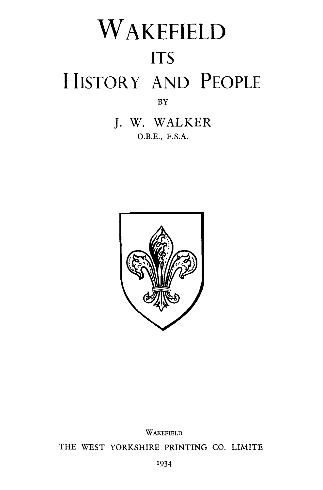# WAKEFIELD ITS HISTORY AND PEOPLE BY

J. W. WALKER O.B.E., F.S.A.



WAKEFIELD

THE WEST YORKSHIRE PRINTING CO. LIMITE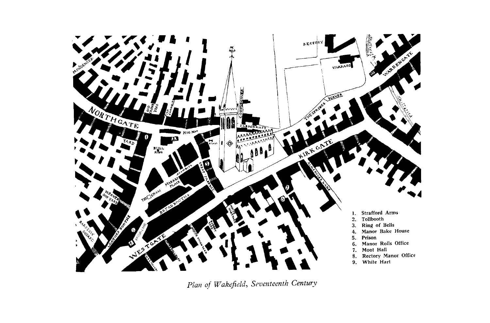

*Plan of Wakefield, Seventeenth Century*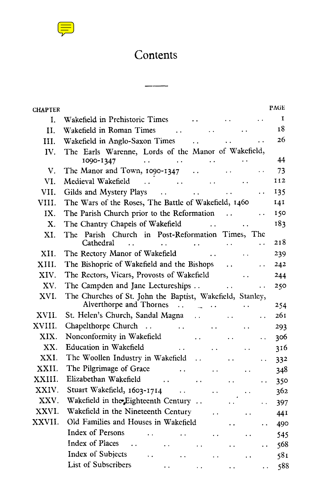

## Contents

| <b>CHAPTER</b> |                                                                                                                                                      | PAGE        |
|----------------|------------------------------------------------------------------------------------------------------------------------------------------------------|-------------|
| I.             | Wakefield in Prehistoric Times<br>$\ddot{\phantom{a}}$                                                                                               | $\mathbf I$ |
| II.            | Wakefield in Roman Times<br>$\sim 10$<br>$\ddot{\phantom{a}}$                                                                                        | 18          |
| III.           | Wakefield in Anglo-Saxon Times<br>$\ddotsc$                                                                                                          | 26          |
| IV.            | The Earls Warenne, Lords of the Manor of Wakefield,                                                                                                  |             |
|                | 1090-1347<br>and the company<br>$\ddot{\phantom{0}}$                                                                                                 | 44          |
| $V_{\cdot}$    | The Manor and Town, 1090-1347<br>$\ddotsc$                                                                                                           | 73          |
| VI.            | Medieval Wakefield<br>$\sim 10^{11}$ km s $^{-1}$                                                                                                    | 112         |
| VII.           | Gilds and Mystery Plays<br>$\ddot{\phantom{a}}$<br>$\ddot{\phantom{a}}$                                                                              | 135         |
| VIII.          | The Wars of the Roses, The Battle of Wakefield, 1460                                                                                                 | 141         |
| IX.            | The Parish Church prior to the Reformation<br>$\ddot{\phantom{0}}$                                                                                   | 150         |
| $\mathbf{X}$ . | The Chantry Chapels of Wakefield<br>$\mathbf{r}$ , and the state $\mathbf{r}$                                                                        | 183         |
| XI.            | The Parish Church in Post-Reformation Times, The                                                                                                     |             |
|                | Cathedral<br><b>Carl Corporation</b><br>. .                                                                                                          | 218         |
| XII.           | The Rectory Manor of Wakefield                                                                                                                       | 239         |
| XIII.          | The Bishopric of Wakefield and the Bishops<br>$\ddot{\phantom{a}}$<br>. .                                                                            | 242         |
| XIV.           | The Rectors, Vicars, Provosts of Wakefield                                                                                                           | 244         |
| XV.            | The Campden and Jane Lectureships<br>$\ddot{\phantom{a}}$<br>$\ddot{\phantom{a}}$                                                                    | 250         |
| XVI.           | The Churches of St. John the Baptist, Wakefield, Stanley,<br>Alverthorpe and Thornes<br>$\cdots$ . The set of $\mathbb{Z}^n$<br>$\ddot{\phantom{a}}$ | 254         |
| XVII.          | St. Helen's Church, Sandal Magna<br>$\sim 10^{-10}$<br>$\ddot{\phantom{0}}$                                                                          | 261         |
| XVIII.         | Chapelthorpe Church<br>$\sim$ .<br><b>Administration</b><br>$\ddot{\phantom{0}}$                                                                     | 293         |
| XIX.           | Nonconformity in Wakefield<br>$\ddot{\phantom{0}}$<br>. .                                                                                            | 306         |
| XX.            | Education in Wakefield<br>$\sim 10^{-1}$<br>$\ddot{\phantom{a}}$                                                                                     | 316         |
| XXI.           | The Woollen Industry in Wakefield<br>$\ddot{\phantom{a}}$<br>$\ddot{\phantom{a}}$<br>$\ddot{\phantom{0}}$                                            | 332         |
| XXII.          | The Pilgrimage of Grace<br>. .<br>$\ddot{\phantom{0}}$                                                                                               | 348         |
| XXIII.         | Elizabethan Wakefield<br>$\ddot{\phantom{a}}$<br>$\ddot{\phantom{a}}$<br>$\ddot{\phantom{0}}$                                                        | 350         |
| XXIV.          | Stuart Wakefield, 1603-1714<br>$\ddot{\phantom{1}}$                                                                                                  | 362         |
| XXV.           | Wakefield in the Eighteenth Century<br>$\ddot{\phantom{0}}$<br>$\ddot{\phantom{a}}$                                                                  | 397         |
| XXVI.          | Wakefield in the Nineteenth Century<br>. .<br>$\ddot{\phantom{a}}$                                                                                   | 441         |
| XXVII.         | Old Families and Houses in Wakefield<br>. .<br>$\ddot{\phantom{0}}$                                                                                  | 490         |
|                | Index of Persons                                                                                                                                     | 545         |
|                | Index of Places<br>$\ddot{\phantom{a}}$                                                                                                              | 568         |
|                | Index of Subjects                                                                                                                                    | 581         |
|                | <b>List of Subscribers</b><br>$\ddot{\phantom{1}}$                                                                                                   | 588         |
|                |                                                                                                                                                      |             |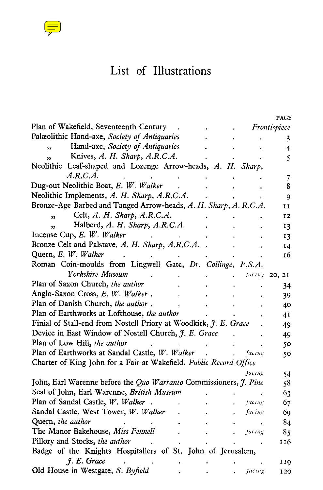

# List of Illustrations

|                                                                    |  |        | PAGE          |
|--------------------------------------------------------------------|--|--------|---------------|
| Plan of Wakefield, Seventeenth Century                             |  |        | Frontispiece  |
| Palæolithic Hand-axe, Society of Antiquaries                       |  |        | 3             |
| Hand-axe, Society of Antiquaries<br>$\overline{\mathbf{z}}$        |  |        | 4             |
| Knives, A. H. Sharp, A.R.C.A.<br>$\overline{\mathbf{z}}$           |  |        | 5             |
| Neolithic Leaf-shaped and Lozenge Arrow-heads, A. H. Sharp,        |  |        |               |
| A.R.C.A.                                                           |  |        | 7             |
| Dug-out Neolithic Boat, E. W. Walker                               |  |        | 8             |
| Neolithic Implements, A. H. Sharp, A.R.C.A.                        |  |        | 9             |
| Bronze-Age Barbed and Tanged Arrow-heads, A. H. Sharp, A. R.C.A.   |  |        | и             |
| Celt, A. H. Sharp, A.R.C.A.<br>$\overline{\mathbf{5}}$             |  |        | 12            |
| Halberd, A. H. Sharp, A.R.C.A.<br>$\overline{\mathbf{r}}$          |  |        | 13            |
| Incense Cup, E. W. Walker                                          |  |        | 13            |
| Bronze Celt and Palstave. A. H. Sharp, A.R.C.A.                    |  |        | 14            |
| Quern, E. W. Walker                                                |  |        | 16            |
| Roman Coin-moulds from Lingwell Gate, Dr. Collinge, F.S.A.         |  |        |               |
| Yorkshire Museum                                                   |  |        | facing 20, 21 |
| Plan of Saxon Church, the author                                   |  |        | 34            |
| Anglo-Saxon Cross, E. W. Walker.                                   |  |        | 39            |
| Plan of Danish Church, the author.                                 |  |        | 40            |
| Plan of Earthworks at Lofthouse, the author                        |  |        | 41            |
| Finial of Stall-end from Nostell Priory at Woodkirk, J. E. Grace   |  |        | 49            |
| Device in East Window of Nostell Church, J. E. Grace               |  |        | 49            |
| Plan of Low Hill, the author                                       |  |        | 50            |
| Plan of Earthworks at Sandal Castle, W. Walker                     |  | facing | 50            |
| Charter of King John for a Fair at Wakefield, Public Record Office |  |        |               |
|                                                                    |  | facing | 54            |
| John, Earl Warenne before the Quo Warranto Commissioners, J. Pine  |  |        | 58            |
| Seal of John, Earl Warenne, British Museum                         |  |        | 63            |
| Plan of Sandal Castle, W. Walker                                   |  | facing | 67            |
| Sandal Castle, West Tower, W. Walker                               |  | facing | 69            |
| Quern, the author                                                  |  |        | 84            |
| The Manor Bakehouse, Miss Fennell                                  |  | facing | 85            |
| Pillory and Stocks, the author                                     |  |        | 116           |
| Badge of the Knights Hospitallers of St. John of Jerusalem,        |  |        |               |
| J. E. Grace                                                        |  |        | 119           |
| Old House in Westgate, S. Byfield                                  |  | facing | 120           |
|                                                                    |  |        |               |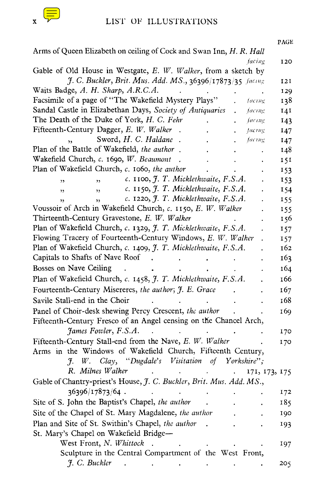

| PAGE                                                                                               |
|----------------------------------------------------------------------------------------------------|
| Arms of Queen Elizabeth on ceiling of Cock and Swan Inn, H. R. Hall<br>facing                      |
| 120<br>Gable of Old House in Westgate, E. W. Walker, from a sketch by                              |
| J. C. Buckler, Brit. Mus. Add. MS., 36396/17873/35 facing<br>121                                   |
| Waits Badge, A. H. Sharp, A.R.C.A.<br>129                                                          |
| Facsimile of a page of "The Wakefield Mystery Plays"<br>138<br>facing                              |
| Sandal Castle in Elizabethan Days, Society of Antiquaries<br>facing<br>141<br>$\ddot{\phantom{a}}$ |
| The Death of the Duke of York, H. C. Fehr<br>facing<br>143                                         |
| Fifteenth-Century Dagger, E. W. Walker<br>facing<br>147                                            |
| Sword, H. C. Haldane<br>facing<br>147                                                              |
| Plan of the Battle of Wakefield, the author.<br>148                                                |
| Wakefield Church, c. 1690, W. Beaumont<br>151                                                      |
| Plan of Wakefield Church, c. 1060, the author<br>153                                               |
| c. 1100, J. T. Micklethwaite, F.S.A.<br>153<br>$\overline{\mathbf{z}}$<br>$\overline{\phantom{a}}$ |
| c. 1150, J. T. Micklethwaite, F.S.A.<br>154<br>$\overline{\mathbf{z}}$<br>$\overline{\phantom{a}}$ |
| c. 1220, J. T. Micklethwaite, F.S.A.<br>155<br>ر د                                                 |
| Voussoir of Arch in Wakefield Church, c. 1150, E. W. Walker<br>155                                 |
| Thirteenth-Century Gravestone, E. W. Walker<br>156                                                 |
| Plan of Wakefield Church, c. 1329, J. T. Micklethwaite, F.S.A.<br>157                              |
| Flowing Tracery of Fourteenth-Century Windows, E. W. Walker<br>157                                 |
| Plan of Wakefield Church, c. 1409, J. T. Micklethwaite, F.S.A.<br>162                              |
| Capitals to Shafts of Nave Roof<br>163                                                             |
| Bosses on Nave Ceiling<br>164                                                                      |
| Plan of Wakefield Church, c. 1458, J. T. Micklethwaite, F.S.A.<br>166                              |
| Fourteenth-Century Misereres, the author; J. E. Grace<br>167                                       |
| Savile Stall-end in the Choir<br>168                                                               |
| Panel of Choir-desk shewing Percy Crescent, the author<br>169                                      |
| Fifteenth-Century Fresco of an Angel censing on the Chancel Arch,                                  |
| James Fowler, F.S.A.<br>170                                                                        |
| Fifteenth-Century Stall-end from the Nave, E. W. Walker<br>170                                     |
| Arms in the Windows of Wakefield Church, Fifteenth Century,                                        |
| Clay, "Dugdale's Visitation of<br>Yorkshire";<br>$\mathcal{J}$<br>W.                               |
| R. Milnes Walker<br>171, 173, 175                                                                  |
| Gable of Chantry-priest's House, J. C. Buckler, Brit. Mus. Add. MS.,                               |
| 36396/17873/64.<br>172                                                                             |
| Site of S. John the Baptist's Chapel, the author<br>185                                            |
| Site of the Chapel of St. Mary Magdalene, the author<br>190                                        |
| Plan and Site of St. Swithin's Chapel, the author<br>193                                           |
| St. Mary's Chapel on Wakefield Bridge-                                                             |
| West Front, N. Whittock<br>197                                                                     |
| Sculpture in the Central Compartment of the West Front,                                            |
| J. C. Buckler<br>205                                                                               |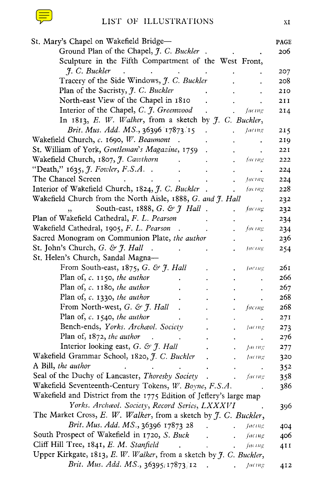| St. Mary's Chapel on Wakefield Bridge-                                                                                                                                                                                                                          |                      | PAGE |
|-----------------------------------------------------------------------------------------------------------------------------------------------------------------------------------------------------------------------------------------------------------------|----------------------|------|
| Ground Plan of the Chapel, J. C. Buckler.<br><b>Contract Contract</b>                                                                                                                                                                                           |                      | 206  |
| Sculpture in the Fifth Compartment of the West Front,                                                                                                                                                                                                           |                      |      |
| J. C. Buckler<br>$\mathcal{L}(\mathbf{X})$ and $\mathcal{L}(\mathbf{X})$ are also the contribution of the $\mathcal{L}(\mathbf{X})$                                                                                                                             |                      | 207  |
| Tracery of the Side Windows, J. C. Buckler                                                                                                                                                                                                                      |                      | 208  |
| Plan of the Sacristy, J. C. Buckler<br><b>Contractor</b>                                                                                                                                                                                                        |                      | 210  |
| North-east View of the Chapel in 1810.                                                                                                                                                                                                                          | $\sim$               | 2II  |
| Interior of the Chapel, C. J. Greenwood . Jacing                                                                                                                                                                                                                |                      | 214  |
| In 1813, E. W. Walker, from a sketch by $f$ . C. Buckler,                                                                                                                                                                                                       |                      |      |
| <i>Brit. Mus. Add. MS.</i> , 36396 17873 15.<br>. facing                                                                                                                                                                                                        |                      | 215  |
| Wakefield Church, c. 1690, W. Beaumont . The contract of the contract of the contract of the contract of the contract of the contract of the contract of the contract of the contract of the contract of the contract of the c                                  |                      | 219  |
| St. William of York, Gentleman's Magazine, 1759 .                                                                                                                                                                                                               | $\ddot{\phantom{0}}$ | 221  |
| Wakefield Church, 1807, J. Cawthorn facing                                                                                                                                                                                                                      |                      | 222  |
|                                                                                                                                                                                                                                                                 |                      | 224  |
| The Chancel Screen<br>$\mathcal{L}^{\mathcal{A}}$ . The contract of the contract of the contract of the contract of the contract of the contract of the contract of the contract of the contract of the contract of the contract of the contract of the contrac | Jacing               | 224  |
| Interior of Wakefield Church, 1824, J. C. Buckler.                                                                                                                                                                                                              | facing               | 228  |
| Wakefield Church from the North Aisle, 1888, G. and J. Hall                                                                                                                                                                                                     |                      |      |
| South-east, 1888, G. & $\hat{J}$ Hall.                                                                                                                                                                                                                          | facing               | 232  |
| Plan of Wakefield Cathedral, F. L. Pearson<br><b>Contract Contract Contract</b>                                                                                                                                                                                 |                      | 232  |
| Wakefield Cathedral, 1905, F. L. Pearson.                                                                                                                                                                                                                       | -facing              | 234  |
| Sacred Monogram on Communion Plate, the author                                                                                                                                                                                                                  |                      | 234  |
| St. John's Church, $G. \& \mathcal{J}.$ Hall . $\qquad \qquad$                                                                                                                                                                                                  |                      | 236  |
|                                                                                                                                                                                                                                                                 | - facing             | 254  |
| St. Helen's Church, Sandal Magna-                                                                                                                                                                                                                               |                      |      |
| From South-east, $1875$ , G. & J. Hall                                                                                                                                                                                                                          | Aacing               | 261  |
| Plan of, c. 1150, the author<br><b>Contract Contract</b>                                                                                                                                                                                                        |                      | 266  |
| Plan of, c. 1180, the author                                                                                                                                                                                                                                    |                      | 267  |
| Plan of, c. 1330, the author<br>$\sim$ $-$                                                                                                                                                                                                                      |                      | 268  |
| From North-west, $G. \& \mathcal{F}.$ Hall .<br>$\sim$ 100 $\mu$                                                                                                                                                                                                | facing               | 268  |
| Plan of, $c$ . 1540, the author                                                                                                                                                                                                                                 |                      | 27I  |
| Bench-ends, Yorks. Archaeol. Society<br>$\sim 10^{-10}$                                                                                                                                                                                                         | -facing              | 273  |
| Plan of, $1872$ , the author .<br><b>Contract Contract</b><br>$\sim$<br><b>Contract Contract Contract</b>                                                                                                                                                       |                      | 276  |
| Interior looking east, $G.$ & $\hat{J}$ . Hall $\qquad \qquad$ .<br>-, Jacing                                                                                                                                                                                   |                      | 277  |
| Wakefield Grammar School, 1820, J. C. Buckler.<br>, facing                                                                                                                                                                                                      |                      | 320  |
| A Bill, the author<br><b>Contract Contract Contract</b><br>and the state of the state of the                                                                                                                                                                    |                      | 352  |
| Seal of the Duchy of Lancaster, Thoresby Society.<br><i>diagrams fucing</i>                                                                                                                                                                                     |                      | 358  |
| Wakefield Seventeenth-Century Tokens, W. Boyne, F.S.A.                                                                                                                                                                                                          |                      | 386  |
| Wakefield and District from the 1775 Edition of Jeffery's large map                                                                                                                                                                                             |                      |      |
| Yorks. Archaeol. Society, Record Series, LXXXVI                                                                                                                                                                                                                 |                      | 396  |
| The Market Cross, E. W. Walker, from a sketch by J. C. Buckler,                                                                                                                                                                                                 |                      |      |
| Brit. Mus. Add. MS., 36396 17873 28<br>$\sim 100$<br>$.$ facing                                                                                                                                                                                                 |                      | 404  |
| South Prospect of Wakefield in 1720, S. Buck<br>$\mathbf{L}$<br>$\sim$                                                                                                                                                                                          | facing               | 406  |
| Cliff Hill Tree, 1841, E. M. Stanfield<br>$\sim$<br>$\sim 10^{-11}$                                                                                                                                                                                             | facing               | 41 I |
| Upper Kirkgate, 1813, E. W. Walker, from a sketch by J. C. Buckler,                                                                                                                                                                                             |                      |      |
| Brit. Mus. Add. MS., 36395/17873/12 . Jacing                                                                                                                                                                                                                    |                      | 412  |
|                                                                                                                                                                                                                                                                 |                      |      |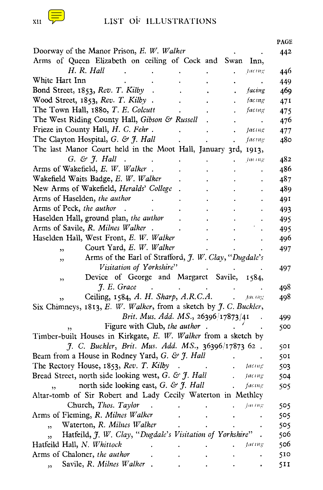|                                                                                               | <b>PAGE</b> |
|-----------------------------------------------------------------------------------------------|-------------|
| Doorway of the Manor Prison, E. W. Walker                                                     | 442         |
| Arms of Queen Elizabeth on ceiling of Cock and Swan<br>Inn,                                   |             |
| H. R. Hall<br>facing                                                                          | 446         |
| White Hart Inn                                                                                | 449         |
| Bond Street, 1853, Rev. T. Kilby<br>facing                                                    | 469         |
| Wood Street, 1853, Rev. T. Kilby.<br>facing                                                   | 471         |
| The Town Hall, 1880, T. E. Colcutt<br>facing                                                  | 475         |
| The West Riding County Hall, Gibson & Russell<br>٠                                            | 476         |
| Frieze in County Hall, H. C. Fehr.<br>facing                                                  | 477         |
| The Clayton Hospital, G. & J. Hall<br>facing                                                  | 480         |
| The last Manor Court held in the Moot Hall, January 3rd, 1913,                                |             |
| $G. \& \mathcal{F}.$ Hall<br>Jacing                                                           | 482         |
| Arms of Wakefield, E. W. Walker.                                                              | 486         |
| Wakefield Waits Badge, E. W. Walker                                                           | 487         |
| New Arms of Wakefield, Heralds' College                                                       | 489         |
| Arms of Haselden, the author                                                                  | 491         |
| Arms of Peck, the author                                                                      | 493         |
| Haselden Hall, ground plan, the author                                                        | 495         |
| Arms of Savile, R. Milnes Walker.                                                             | 495         |
| Haselden Hall, West Front, E. W. Walker                                                       | 496         |
| Court Yard, E. W. Walker<br>$\overline{\phantom{a}}$                                          | 497         |
| Arms of the Earl of Strafford, J. W. Clay, "Dugdale's<br>,,                                   |             |
| Visitation of Yorkshire"                                                                      | 497.        |
| Device of George and Margaret Savile, 1584,<br>,                                              |             |
| J. E. Grace                                                                                   | 498         |
| Ceiling, 1584, A. H. Sharp, A.R.C.A.<br>Jac ing                                               | 498         |
| Six Chimneys, 1813, E. W. Walker, from a sketch by J. C. Buckler,                             |             |
| Brit. Mus. Add. MS., 26396/17873/41                                                           | 499         |
| Figure with Club, the author.                                                                 | 500         |
| Timber-built Houses in Kirkgate, E. W. Walker from a sketch by                                |             |
| J. C. Buckler, Brit. Mus. Add. MS., 36396/17873 62.                                           | 501.        |
| Beam from a House in Rodney Yard, G. & J. Hall                                                | 501         |
| The Rectory House, 1853, Rev. T. Kilby<br>— facing                                            | 503         |
| Bread Street, north side looking west, $G$ . & $\mathcal{J}$ . Hall<br>$\mathbf{L}$<br>facing | 504         |
| north side looking east, G. & $\mathcal{J}$ . Hall<br>facing                                  | 505         |
| Altar-tomb of Sir Robert and Lady Cecily Waterton in Methley                                  |             |
| Church, Thos. Taylor<br>$J^{\mu\ell\,\ell\mu}$ g                                              | 505         |
| Arms of Fleming, R. Milnes Walker                                                             | 505         |
| Waterton, R. Milnes Walker                                                                    | 505         |
| , 1<br>Hatfeild, J. W. Clay, "Dugdale's Visitation of Yorkshire"                              | 506         |
| $\overline{\mathbf{5}}$<br>Hatfeild Hall, N. Whittock<br><b>Jacing</b>                        | 506         |
| Arms of Chaloner, the author                                                                  | 510         |
| Savile, R. Milnes Walker                                                                      |             |
| $\overline{\mathbf{z}}$                                                                       | 511         |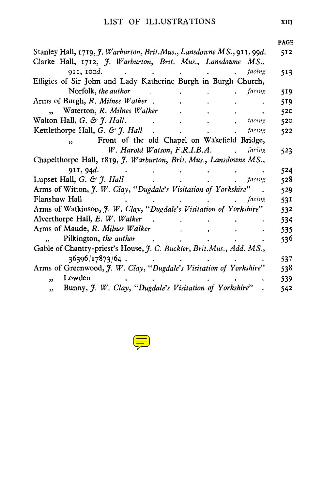|                                                                                   |  |        | <b>PAGE</b> |
|-----------------------------------------------------------------------------------|--|--------|-------------|
| Stanley Hall, 1719, J. Warburton, Brit.Mus., Lansdowne MS., 911, 99d.             |  |        | 512         |
| Clarke Hall, 1712, J. Warburton, Brit. Mus., Lansdowne MS.,                       |  |        |             |
| 911, 100d.                                                                        |  | facing | 513         |
| Effigies of Sir John and Lady Katherine Burgh in Burgh Church,                    |  |        |             |
| Norfolk, the author                                                               |  | facing | 519         |
| Arms of Burgh, R. Milnes Walker.                                                  |  |        | 519         |
| Waterton, R. Milnes Walker<br>$\ddot{\phantom{0}}$                                |  |        | 520         |
| Walton Hall, $G.$ & $\tilde{f}$ . Hall.                                           |  | facing | 520         |
| Kettlethorpe Hall, G. & J. Hall                                                   |  | facing | 522         |
| Front of the old Chapel on Wakefield Bridge,<br>$\overline{\mathbf{z}}$           |  |        |             |
| W. Harold Watson, F.R.I.B.A.                                                      |  | facing | 523         |
| Chapelthorpe Hall, 1819, J. Warburton, Brit. Mus., Lansdowne MS.,                 |  |        |             |
| 911, 94d.                                                                         |  |        | 524         |
| Lupset Hall, G. & J. Hall                                                         |  | facing | 528         |
| Arms of Witton, J. W. Clay, "Dugdale's Visitation of Yorkshire"                   |  |        | 529         |
| Flanshaw Hall                                                                     |  | facing | 531         |
| Arms of Watkinson, J. W. Clay, "Dugdale's Visitation of Yorkshire"                |  |        | 532         |
| Alverthorpe Hall, E. W. Walker                                                    |  |        | 534         |
| Arms of Maude, R. Milnes Walker                                                   |  |        | 535         |
| Pilkington, the author                                                            |  |        | 536         |
| Gable of Chantry-priest's House, J. C. Buckler, Brit.Mus., Add. MS.,              |  |        |             |
| 36396/17873/64.                                                                   |  |        | 537         |
| Arms of Greenwood, J. W. Clay, "Dugdale's Visitation of Yorkshire"                |  |        | 538         |
| Lowden<br>$\overline{\mathbf{z}}$                                                 |  |        | 539         |
| Bunny, J. W. Clay, "Dugdale's Visitation of Yorkshire"<br>$\overline{\mathbf{z}}$ |  |        | 542         |

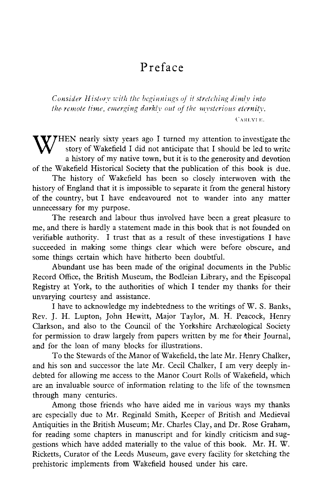### Preface

*Consider Histor y with the beginnings* of *it stretching diml y into the remote time, emerging darkly out of the mysterious eternity. CARLYL* E.

WHEN nearly sixty years ago I turned my attention to investigate the story of Wakefield I did not anticipate that I should be led to write story of Wakefield I did not anticipate that I should be led to write a history of my native town, but it is to the generosity and devotion of the Wakefield Historical Society that the publication of this book is due.

The history of Wakefield has been so closely interwoven with the history of England that it is impossible to separate it from the general history of the country, but I have endeavoured not to wander into any matter unnecessary for my purpose.

The research and labour thus involved have been a great pleasure to me, and there is hardly a statement made in this book that is not founded on verifiable authority. I trust that as a result of these investigations I have succeeded in making some things clear which were before obscure, and some things certain which have hitherto been doubtful.

Abundant use has been made of the original documents in the Public Record Office, the British Museum, the Bodleian Library, and the Episcopal Registry at York, to the authorities of which I tender my thanks for their unvarying courtesy and assistance.

I have to acknowledge my indebtedness to the writings of W. S. Banks, Rev. J. H. Lupton, John Hewitt, Major Taylor, M. H. Peacock, Henry Clarkson, and also to the Council of the Yorkshire Archæological Society for permission to draw largely from papers written by me for their Journal, and for the loan of many blocks for illustrations.

To the Stewards of the Manor of Wakefield, the late Mr. Henry Chalker, and his son and successor the late Mr. Cecil Chalker, I am very deeply indebted for allowing me access to the Manor Court Rolls of Wakefield, which are an invaluable source of information relating to the life of the townsmen through many centuries.

Among those friends who have aided me in various ways my thanks are especially due to Mr. Reginald Smith, Keeper of British and Medieval Antiquities in the British Museum; Mr. Charles Clay, and Dr. Rose Graham, for reading some chapters in manuscript and for kindly criticism and suggestions which have added materially to the value of this book. Mr. H. W. Ricketts, Curator of the Leeds Museum, gave every facility for sketching the prehistoric implements from Wakefield housed under his care.